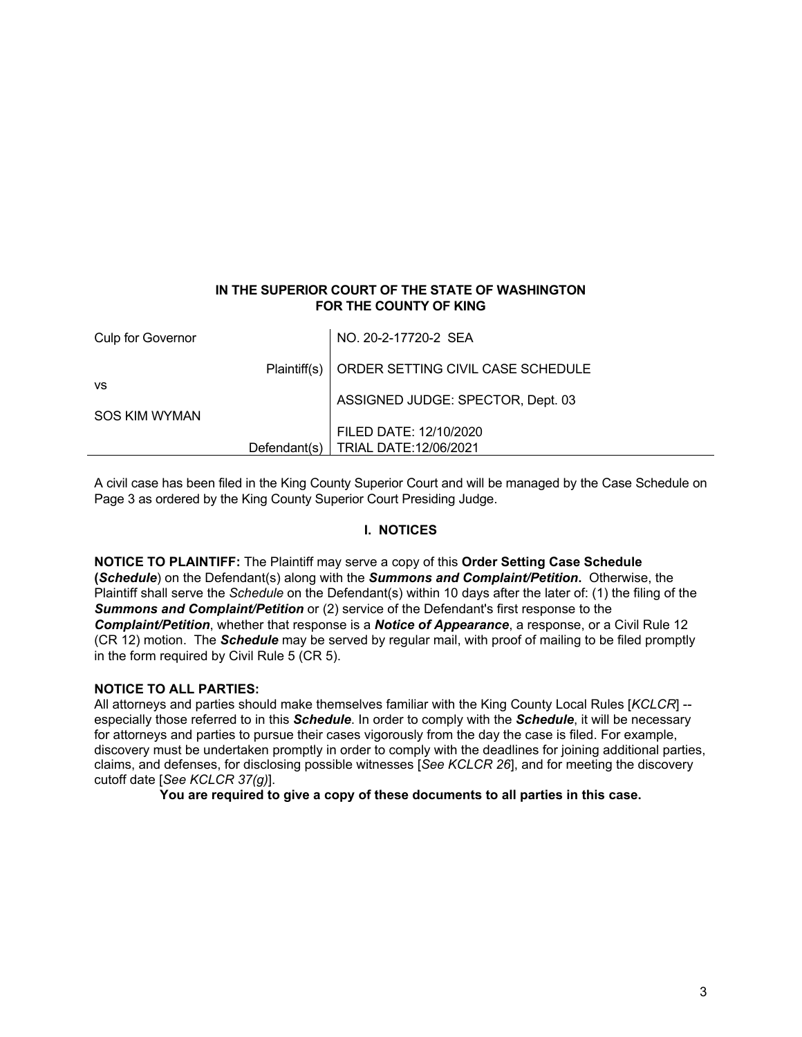## **IN THE SUPERIOR COURT OF THE STATE OF WASHINGTON FOR THE COUNTY OF KING**

| Culp for Governor             | NO. 20-2-17720-2 SEA                             |
|-------------------------------|--------------------------------------------------|
|                               | Plaintiff(s)   ORDER SETTING CIVIL CASE SCHEDULE |
| <b>VS</b>                     | ASSIGNED JUDGE: SPECTOR, Dept. 03                |
| SOS KIM WYMAN<br>Defendant(s) | FILED DATE: 12/10/2020<br>TRIAL DATE:12/06/2021  |

A civil case has been filed in the King County Superior Court and will be managed by the Case Schedule on Page 3 as ordered by the King County Superior Court Presiding Judge.

## **I. NOTICES**

**NOTICE TO PLAINTIFF:** The Plaintiff may serve a copy of this **Order Setting Case Schedule (***Schedule*) on the Defendant(s) along with the *Summons and Complaint/Petition***.** Otherwise, the Plaintiff shall serve the *Schedule* on the Defendant(s) within 10 days after the later of: (1) the filing of the *Summons and Complaint/Petition* or (2) service of the Defendant's first response to the *Complaint/Petition*, whether that response is a *Notice of Appearance*, a response, or a Civil Rule 12 (CR 12) motion. The *Schedule* may be served by regular mail, with proof of mailing to be filed promptly in the form required by Civil Rule 5 (CR 5).

### **NOTICE TO ALL PARTIES:**

All attorneys and parties should make themselves familiar with the King County Local Rules [*KCLCR*] - especially those referred to in this *Schedule*. In order to comply with the *Schedule*, it will be necessary for attorneys and parties to pursue their cases vigorously from the day the case is filed. For example, discovery must be undertaken promptly in order to comply with the deadlines for joining additional parties, claims, and defenses, for disclosing possible witnesses [*See KCLCR 26*], and for meeting the discovery cutoff date [*See KCLCR 37(g)*].

**You are required to give a copy of these documents to all parties in this case.**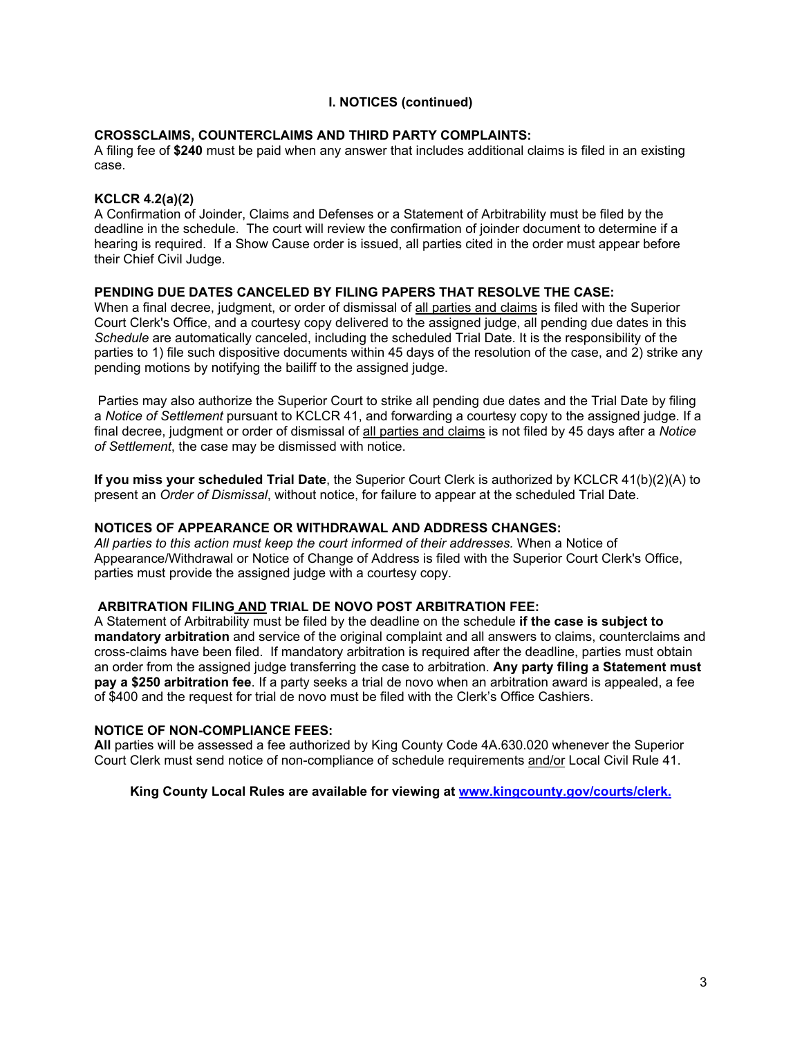## **I. NOTICES (continued)**

### **CROSSCLAIMS, COUNTERCLAIMS AND THIRD PARTY COMPLAINTS:**

A filing fee of **\$240** must be paid when any answer that includes additional claims is filed in an existing case.

## **KCLCR 4.2(a)(2)**

A Confirmation of Joinder, Claims and Defenses or a Statement of Arbitrability must be filed by the deadline in the schedule. The court will review the confirmation of joinder document to determine if a hearing is required. If a Show Cause order is issued, all parties cited in the order must appear before their Chief Civil Judge.

### **PENDING DUE DATES CANCELED BY FILING PAPERS THAT RESOLVE THE CASE:**

When a final decree, judgment, or order of dismissal of all parties and claims is filed with the Superior Court Clerk's Office, and a courtesy copy delivered to the assigned judge, all pending due dates in this *Schedule* are automatically canceled, including the scheduled Trial Date. It is the responsibility of the parties to 1) file such dispositive documents within 45 days of the resolution of the case, and 2) strike any pending motions by notifying the bailiff to the assigned judge.

 Parties may also authorize the Superior Court to strike all pending due dates and the Trial Date by filing a *Notice of Settlement* pursuant to KCLCR 41, and forwarding a courtesy copy to the assigned judge. If a final decree, judgment or order of dismissal of all parties and claims is not filed by 45 days after a *Notice of Settlement*, the case may be dismissed with notice.

**If you miss your scheduled Trial Date**, the Superior Court Clerk is authorized by KCLCR 41(b)(2)(A) to present an *Order of Dismissal*, without notice, for failure to appear at the scheduled Trial Date.

### **NOTICES OF APPEARANCE OR WITHDRAWAL AND ADDRESS CHANGES:**

*All parties to this action must keep the court informed of their addresses.* When a Notice of Appearance/Withdrawal or Notice of Change of Address is filed with the Superior Court Clerk's Office, parties must provide the assigned judge with a courtesy copy.

# **ARBITRATION FILING AND TRIAL DE NOVO POST ARBITRATION FEE:**

A Statement of Arbitrability must be filed by the deadline on the schedule **if the case is subject to mandatory arbitration** and service of the original complaint and all answers to claims, counterclaims and cross-claims have been filed. If mandatory arbitration is required after the deadline, parties must obtain an order from the assigned judge transferring the case to arbitration. **Any party filing a Statement must pay a \$250 arbitration fee**. If a party seeks a trial de novo when an arbitration award is appealed, a fee of \$400 and the request for trial de novo must be filed with the Clerk's Office Cashiers.

### **NOTICE OF NON-COMPLIANCE FEES:**

**All** parties will be assessed a fee authorized by King County Code 4A.630.020 whenever the Superior Court Clerk must send notice of non-compliance of schedule requirements and/or Local Civil Rule 41.

**King County Local Rules are available for viewing at [www.kingcounty.gov/courts/clerk.](http://www.kingcounty.gov/courts/clerk.)**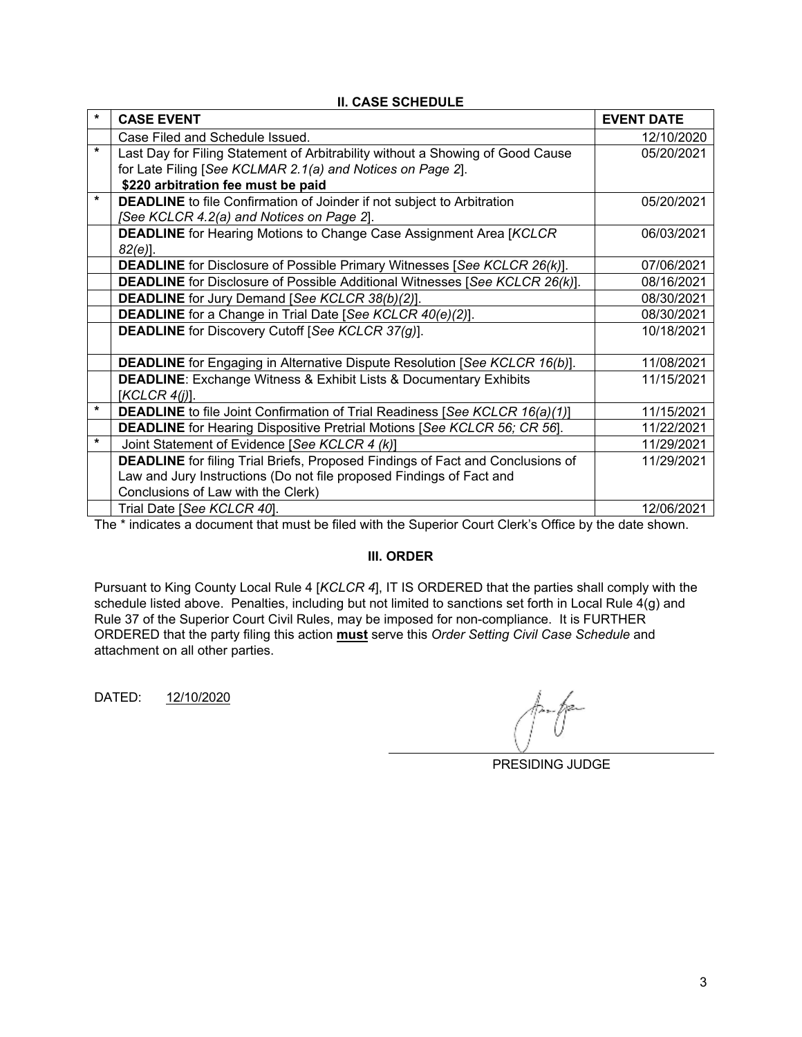| $\star$ | <b>CASE EVENT</b>                                                                     | <b>EVENT DATE</b> |  |
|---------|---------------------------------------------------------------------------------------|-------------------|--|
|         | Case Filed and Schedule Issued.                                                       | 12/10/2020        |  |
| $\star$ | Last Day for Filing Statement of Arbitrability without a Showing of Good Cause        | 05/20/2021        |  |
|         | for Late Filing [See KCLMAR 2.1(a) and Notices on Page 2].                            |                   |  |
|         | \$220 arbitration fee must be paid                                                    |                   |  |
| $\star$ | <b>DEADLINE</b> to file Confirmation of Joinder if not subject to Arbitration         | 05/20/2021        |  |
|         | [See KCLCR 4.2(a) and Notices on Page 2].                                             |                   |  |
|         | <b>DEADLINE</b> for Hearing Motions to Change Case Assignment Area [KCLCR]            | 06/03/2021        |  |
|         | $82(e)$ ].                                                                            |                   |  |
|         | <b>DEADLINE</b> for Disclosure of Possible Primary Witnesses [See KCLCR 26(k)].       | 07/06/2021        |  |
|         | <b>DEADLINE</b> for Disclosure of Possible Additional Witnesses [See KCLCR 26(k)].    | 08/16/2021        |  |
|         | <b>DEADLINE</b> for Jury Demand [See KCLCR 38(b)(2)].                                 | 08/30/2021        |  |
|         | <b>DEADLINE</b> for a Change in Trial Date [See KCLCR 40(e)(2)].                      | 08/30/2021        |  |
|         | <b>DEADLINE</b> for Discovery Cutoff [See KCLCR 37(g)].                               | 10/18/2021        |  |
|         |                                                                                       |                   |  |
|         | <b>DEADLINE</b> for Engaging in Alternative Dispute Resolution [See KCLCR 16(b)].     | 11/08/2021        |  |
|         | <b>DEADLINE:</b> Exchange Witness & Exhibit Lists & Documentary Exhibits              | 11/15/2021        |  |
|         | [KCLCR 4(i)].                                                                         |                   |  |
| $\star$ | <b>DEADLINE</b> to file Joint Confirmation of Trial Readiness [See KCLCR 16(a)(1)]    | 11/15/2021        |  |
|         | <b>DEADLINE</b> for Hearing Dispositive Pretrial Motions [See KCLCR 56; CR 56].       | 11/22/2021        |  |
| $\star$ | Joint Statement of Evidence [See KCLCR 4 (k)]                                         | 11/29/2021        |  |
|         | <b>DEADLINE</b> for filing Trial Briefs, Proposed Findings of Fact and Conclusions of | 11/29/2021        |  |
|         | Law and Jury Instructions (Do not file proposed Findings of Fact and                  |                   |  |
|         | Conclusions of Law with the Clerk)                                                    |                   |  |
|         | Trial Date [See KCLCR 40].                                                            | 12/06/2021        |  |
|         | $\cdots$ $\cdots$ $\cdots$ $\cdots$ $\cdots$ $\cdots$ $\cdots$                        |                   |  |

# **II. CASE SCHEDULE**

The \* indicates a document that must be filed with the Superior Court Clerk's Office by the date shown.

### **III. ORDER**

Pursuant to King County Local Rule 4 [*KCLCR 4*], IT IS ORDERED that the parties shall comply with the schedule listed above. Penalties, including but not limited to sanctions set forth in Local Rule 4(g) and Rule 37 of the Superior Court Civil Rules, may be imposed for non-compliance. It is FURTHER ORDERED that the party filing this action **must** serve this *Order Setting Civil Case Schedule* and attachment on all other parties.

DATED: 12/10/2020

PRESIDING JUDGE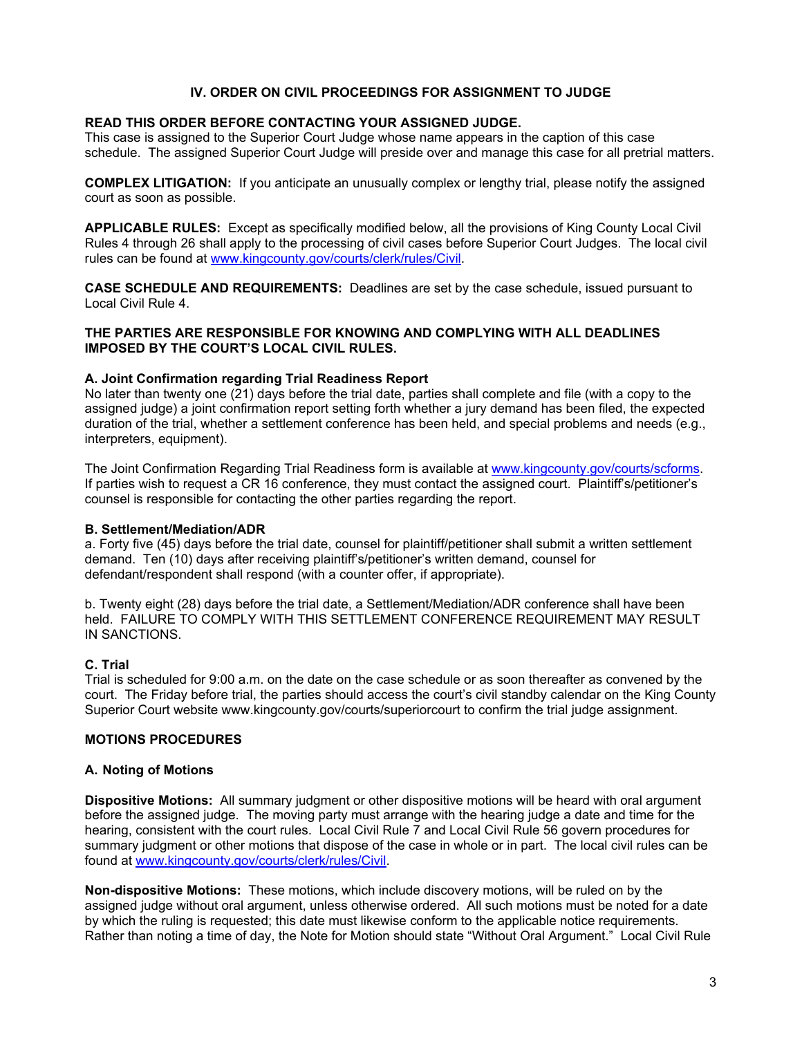## **IV. ORDER ON CIVIL PROCEEDINGS FOR ASSIGNMENT TO JUDGE**

## **READ THIS ORDER BEFORE CONTACTING YOUR ASSIGNED JUDGE.**

This case is assigned to the Superior Court Judge whose name appears in the caption of this case schedule. The assigned Superior Court Judge will preside over and manage this case for all pretrial matters.

**COMPLEX LITIGATION:** If you anticipate an unusually complex or lengthy trial, please notify the assigned court as soon as possible.

**APPLICABLE RULES:** Except as specifically modified below, all the provisions of King County Local Civil Rules 4 through 26 shall apply to the processing of civil cases before Superior Court Judges. The local civil rules can be found at [www.kingcounty.gov/courts/clerk/rules/Civil](http://www.kingcounty.gov/courts/clerk/rules/Civil).

**CASE SCHEDULE AND REQUIREMENTS:** Deadlines are set by the case schedule, issued pursuant to Local Civil Rule 4.

## **THE PARTIES ARE RESPONSIBLE FOR KNOWING AND COMPLYING WITH ALL DEADLINES IMPOSED BY THE COURT'S LOCAL CIVIL RULES.**

## **A. Joint Confirmation regarding Trial Readiness Report**

No later than twenty one (21) days before the trial date, parties shall complete and file (with a copy to the assigned judge) a joint confirmation report setting forth whether a jury demand has been filed, the expected duration of the trial, whether a settlement conference has been held, and special problems and needs (e.g., interpreters, equipment).

The Joint Confirmation Regarding Trial Readiness form is available at [www.kingcounty.gov/courts/scforms](http://www.kingcounty.gov/courts/scforms). If parties wish to request a CR 16 conference, they must contact the assigned court. Plaintiff's/petitioner's counsel is responsible for contacting the other parties regarding the report.

### **B. Settlement/Mediation/ADR**

a. Forty five (45) days before the trial date, counsel for plaintiff/petitioner shall submit a written settlement demand. Ten (10) days after receiving plaintiff's/petitioner's written demand, counsel for defendant/respondent shall respond (with a counter offer, if appropriate).

b. Twenty eight (28) days before the trial date, a Settlement/Mediation/ADR conference shall have been held. FAILURE TO COMPLY WITH THIS SETTLEMENT CONFERENCE REQUIREMENT MAY RESULT IN SANCTIONS.

### **C. Trial**

Trial is scheduled for 9:00 a.m. on the date on the case schedule or as soon thereafter as convened by the court. The Friday before trial, the parties should access the court's civil standby calendar on the King County Superior Court website www.kingcounty.gov/courts/superiorcourt to confirm the trial judge assignment.

### **MOTIONS PROCEDURES**

## **A. Noting of Motions**

**Dispositive Motions:** All summary judgment or other dispositive motions will be heard with oral argument before the assigned judge. The moving party must arrange with the hearing judge a date and time for the hearing, consistent with the court rules. Local Civil Rule 7 and Local Civil Rule 56 govern procedures for summary judgment or other motions that dispose of the case in whole or in part. The local civil rules can be found at www.kingcounty.gov/courts/clerk/rules/Civil.

**Non-dispositive Motions:** These motions, which include discovery motions, will be ruled on by the assigned judge without oral argument, unless otherwise ordered. All such motions must be noted for a date by which the ruling is requested; this date must likewise conform to the applicable notice requirements. Rather than noting a time of day, the Note for Motion should state "Without Oral Argument." Local Civil Rule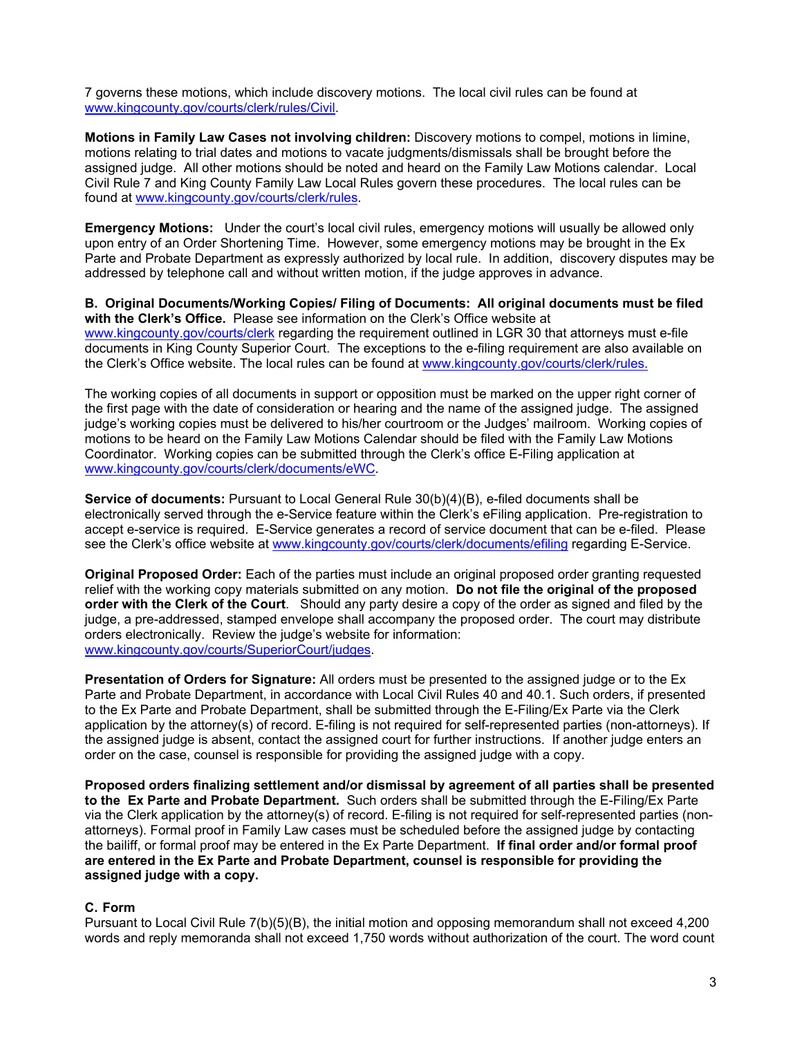7 governs these motions, which include discovery motions. The local civil rules can be found at [www.kingcounty.gov/courts/clerk/rules/Civil.](http://www.kingcounty.gov/courts/clerk/rules/Civil)

**Motions in Family Law Cases not involving children:** Discovery motions to compel, motions in limine, motions relating to trial dates and motions to vacate judgments/dismissals shall be brought before the assigned judge. All other motions should be noted and heard on the Family Law Motions calendar. Local Civil Rule 7 and King County Family Law Local Rules govern these procedures. The local rules can be found at www.kingcounty.gov/courts/clerk/rules.

**Emergency Motions:** Under the court's local civil rules, emergency motions will usually be allowed only upon entry of an Order Shortening Time. However, some emergency motions may be brought in the Ex Parte and Probate Department as expressly authorized by local rule. In addition, discovery disputes may be addressed by telephone call and without written motion, if the judge approves in advance.

**B. Original Documents/Working Copies/ Filing of Documents: All original documents must be filed with the Clerk's Office.** Please see information on the Clerk's Office website at [www.kingcounty.gov/courts/clerk](http://www.kingcounty.gov/courts/clerk) regarding the requirement outlined in LGR 30 that attorneys must e-file documents in King County Superior Court. The exceptions to the e-filing requirement are also available on the Clerk's Office website. The local rules can be found at www.kingcounty.gov/courts/clerk/rules.

The working copies of all documents in support or opposition must be marked on the upper right corner of the first page with the date of consideration or hearing and the name of the assigned judge. The assigned judge's working copies must be delivered to his/her courtroom or the Judges' mailroom. Working copies of motions to be heard on the Family Law Motions Calendar should be filed with the Family Law Motions Coordinator. Working copies can be submitted through the Clerk's office E-Filing application at www.kingcounty.gov/courts/clerk/documents/eWC.

**Service of documents:** Pursuant to Local General Rule 30(b)(4)(B), e-filed documents shall be electronically served through the e-Service feature within the Clerk's eFiling application. Pre-registration to accept e-service is required. E-Service generates a record of service document that can be e-filed. Please see the Clerk's office website at [www.kingcounty.gov/courts/clerk/documents/efiling](http://www.kingcounty.gov/courts/clerk/documents/efiling) regarding E-Service.

**Original Proposed Order:** Each of the parties must include an original proposed order granting requested relief with the working copy materials submitted on any motion. **Do not file the original of the proposed order with the Clerk of the Court**. Should any party desire a copy of the order as signed and filed by the judge, a pre-addressed, stamped envelope shall accompany the proposed order. The court may distribute orders electronically. Review the judge's website for information: [www.kingcounty.gov/courts/SuperiorCourt/judges](http://www.kingcounty.gov/courts/SuperiorCourt/judges).

**Presentation of Orders for Signature:** All orders must be presented to the assigned judge or to the Ex Parte and Probate Department, in accordance with Local Civil Rules 40 and 40.1. Such orders, if presented to the Ex Parte and Probate Department, shall be submitted through the E-Filing/Ex Parte via the Clerk application by the attorney(s) of record. E-filing is not required for self-represented parties (non-attorneys). If the assigned judge is absent, contact the assigned court for further instructions. If another judge enters an order on the case, counsel is responsible for providing the assigned judge with a copy.

**Proposed orders finalizing settlement and/or dismissal by agreement of all parties shall be presented to the Ex Parte and Probate Department.** Such orders shall be submitted through the E-Filing/Ex Parte via the Clerk application by the attorney(s) of record. E-filing is not required for self-represented parties (nonattorneys). Formal proof in Family Law cases must be scheduled before the assigned judge by contacting the bailiff, or formal proof may be entered in the Ex Parte Department. **If final order and/or formal proof are entered in the Ex Parte and Probate Department, counsel is responsible for providing the assigned judge with a copy.**

## **C. Form**

Pursuant to Local Civil Rule 7(b)(5)(B), the initial motion and opposing memorandum shall not exceed 4,200 words and reply memoranda shall not exceed 1,750 words without authorization of the court. The word count